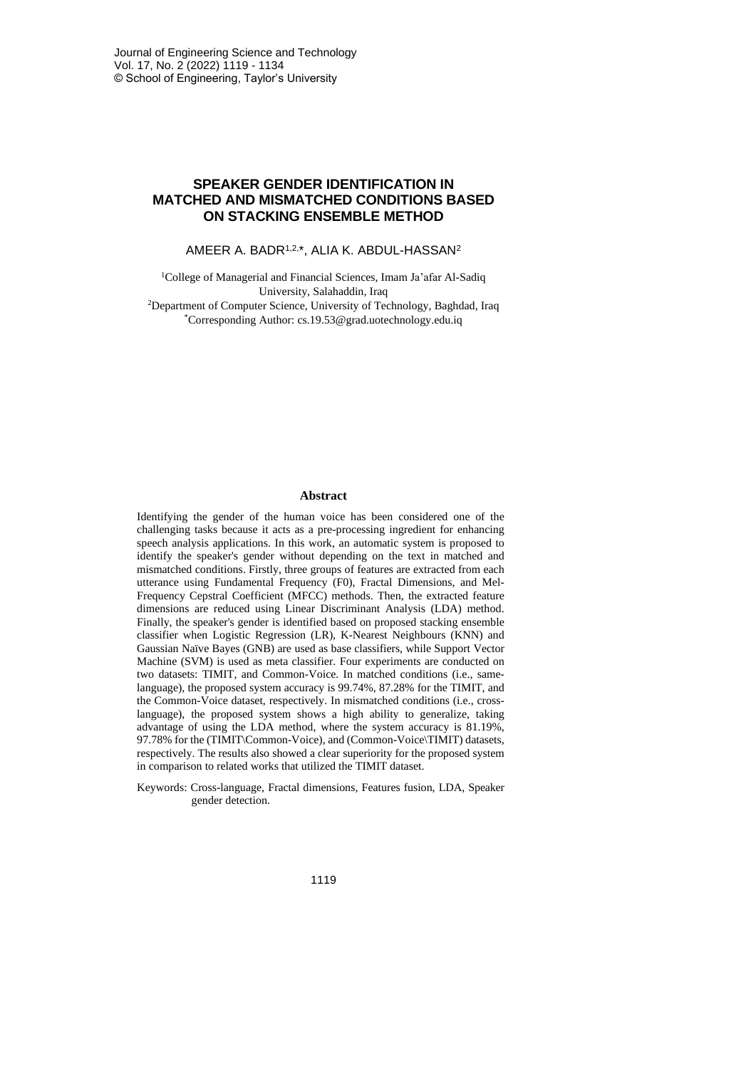# **SPEAKER GENDER IDENTIFICATION IN MATCHED AND MISMATCHED CONDITIONS BASED ON STACKING ENSEMBLE METHOD**

AMEER A. BADR1,2, \*, ALIA K. ABDUL-HASSAN<sup>2</sup>

<sup>1</sup>College of Managerial and Financial Sciences, Imam Ja'afar Al-Sadiq University, Salahaddin, Iraq <sup>2</sup>Department of Computer Science, University of Technology, Baghdad, Iraq \*Corresponding Author: cs.19.53@grad.uotechnology.edu.iq

## **Abstract**

Identifying the gender of the human voice has been considered one of the challenging tasks because it acts as a pre-processing ingredient for enhancing speech analysis applications. In this work, an automatic system is proposed to identify the speaker's gender without depending on the text in matched and mismatched conditions. Firstly, three groups of features are extracted from each utterance using Fundamental Frequency (F0), Fractal Dimensions, and Mel-Frequency Cepstral Coefficient (MFCC) methods. Then, the extracted feature dimensions are reduced using Linear Discriminant Analysis (LDA) method. Finally, the speaker's gender is identified based on proposed stacking ensemble classifier when Logistic Regression (LR), K-Nearest Neighbours (KNN) and Gaussian Naïve Bayes (GNB) are used as base classifiers, while Support Vector Machine (SVM) is used as meta classifier. Four experiments are conducted on two datasets: TIMIT, and Common-Voice. In matched conditions (i.e., samelanguage), the proposed system accuracy is 99.74%, 87.28% for the TIMIT, and the Common-Voice dataset, respectively. In mismatched conditions (i.e., crosslanguage), the proposed system shows a high ability to generalize, taking advantage of using the LDA method, where the system accuracy is 81.19%, 97.78% for the (TIMIT\Common-Voice), and (Common-Voice\TIMIT) datasets, respectively. The results also showed a clear superiority for the proposed system in comparison to related works that utilized the TIMIT dataset.

Keywords: Cross-language, Fractal dimensions, Features fusion, LDA, Speaker gender detection.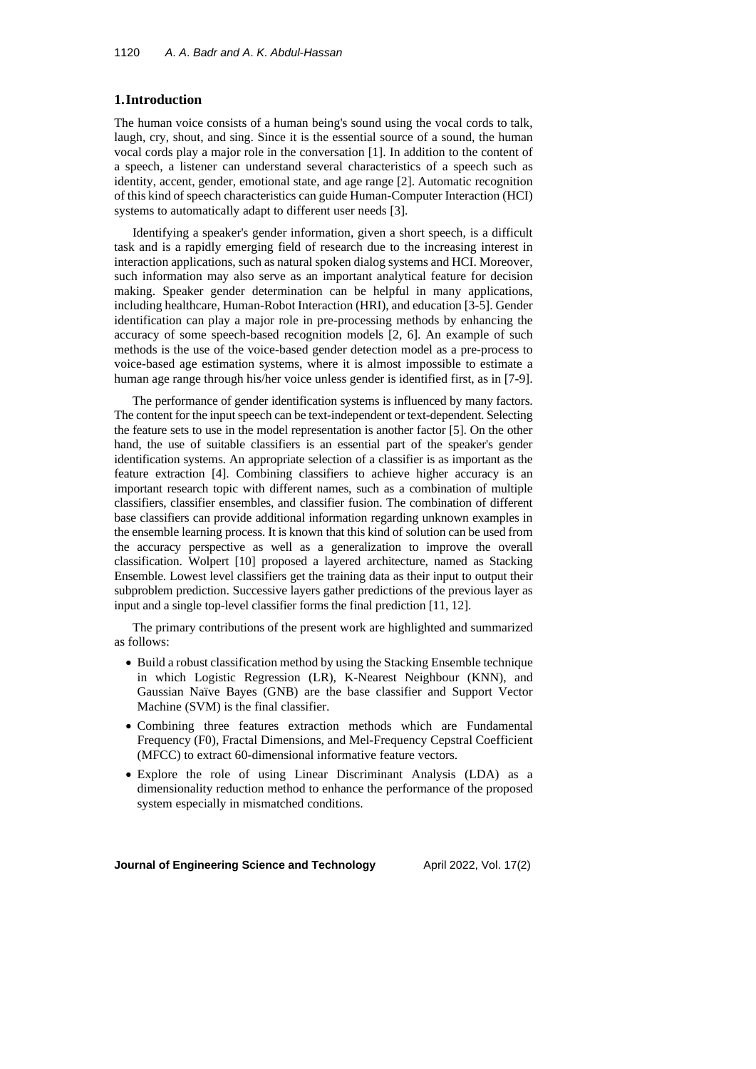# **1.Introduction**

The human voice consists of a human being's sound using the vocal cords to talk, laugh, cry, shout, and sing. Since it is the essential source of a sound, the human vocal cords play a major role in the conversation [1]. In addition to the content of a speech, a listener can understand several characteristics of a speech such as identity, accent, gender, emotional state, and age range [2]. Automatic recognition of this kind of speech characteristics can guide Human-Computer Interaction (HCI) systems to automatically adapt to different user needs [3].

Identifying a speaker's gender information, given a short speech, is a difficult task and is a rapidly emerging field of research due to the increasing interest in interaction applications, such as natural spoken dialog systems and HCI. Moreover, such information may also serve as an important analytical feature for decision making. Speaker gender determination can be helpful in many applications, including healthcare, Human-Robot Interaction (HRI), and education [3-5]. Gender identification can play a major role in pre-processing methods by enhancing the accuracy of some speech-based recognition models [2, 6]. An example of such methods is the use of the voice-based gender detection model as a pre-process to voice-based age estimation systems, where it is almost impossible to estimate a human age range through his/her voice unless gender is identified first, as in [7-9].

The performance of gender identification systems is influenced by many factors. The content for the input speech can be text-independent or text-dependent. Selecting the feature sets to use in the model representation is another factor [5]. On the other hand, the use of suitable classifiers is an essential part of the speaker's gender identification systems. An appropriate selection of a classifier is as important as the feature extraction [4]. Combining classifiers to achieve higher accuracy is an important research topic with different names, such as a combination of multiple classifiers, classifier ensembles, and classifier fusion. The combination of different base classifiers can provide additional information regarding unknown examples in the ensemble learning process. It is known that this kind of solution can be used from the accuracy perspective as well as a generalization to improve the overall classification. Wolpert [10] proposed a layered architecture, named as Stacking Ensemble. Lowest level classifiers get the training data as their input to output their subproblem prediction. Successive layers gather predictions of the previous layer as input and a single top-level classifier forms the final prediction [11, 12].

The primary contributions of the present work are highlighted and summarized as follows:

- Build a robust classification method by using the Stacking Ensemble technique in which Logistic Regression (LR), K-Nearest Neighbour (KNN), and Gaussian Naïve Bayes (GNB) are the base classifier and Support Vector Machine (SVM) is the final classifier.
- Combining three features extraction methods which are Fundamental Frequency (F0), Fractal Dimensions, and Mel-Frequency Cepstral Coefficient (MFCC) to extract 60-dimensional informative feature vectors.
- Explore the role of using Linear Discriminant Analysis (LDA) as a dimensionality reduction method to enhance the performance of the proposed system especially in mismatched conditions.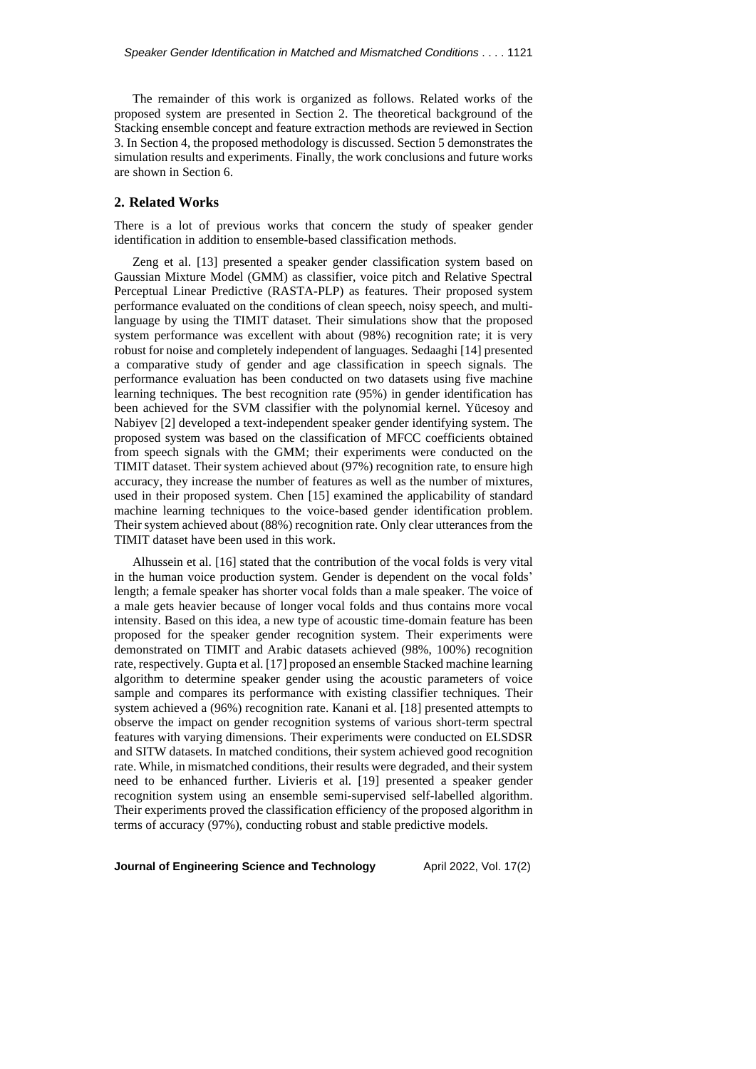The remainder of this work is organized as follows. Related works of the proposed system are presented in Section 2. The theoretical background of the Stacking ensemble concept and feature extraction methods are reviewed in Section 3. In Section 4, the proposed methodology is discussed. Section 5 demonstrates the simulation results and experiments. Finally, the work conclusions and future works are shown in Section 6.

# **2. Related Works**

There is a lot of previous works that concern the study of speaker gender identification in addition to ensemble-based classification methods.

Zeng et al. [13] presented a speaker gender classification system based on Gaussian Mixture Model (GMM) as classifier, voice pitch and Relative Spectral Perceptual Linear Predictive (RASTA-PLP) as features. Their proposed system performance evaluated on the conditions of clean speech, noisy speech, and multilanguage by using the TIMIT dataset. Their simulations show that the proposed system performance was excellent with about (98%) recognition rate; it is very robust for noise and completely independent of languages. Sedaaghi [14] presented a comparative study of gender and age classification in speech signals. The performance evaluation has been conducted on two datasets using five machine learning techniques. The best recognition rate (95%) in gender identification has been achieved for the SVM classifier with the polynomial kernel. Yücesoy and Nabiyev [2] developed a text-independent speaker gender identifying system. The proposed system was based on the classification of MFCC coefficients obtained from speech signals with the GMM; their experiments were conducted on the TIMIT dataset. Their system achieved about (97%) recognition rate, to ensure high accuracy, they increase the number of features as well as the number of mixtures, used in their proposed system. Chen [15] examined the applicability of standard machine learning techniques to the voice-based gender identification problem. Their system achieved about (88%) recognition rate. Only clear utterances from the TIMIT dataset have been used in this work.

Alhussein et al. [16] stated that the contribution of the vocal folds is very vital in the human voice production system. Gender is dependent on the vocal folds' length; a female speaker has shorter vocal folds than a male speaker. The voice of a male gets heavier because of longer vocal folds and thus contains more vocal intensity. Based on this idea, a new type of acoustic time-domain feature has been proposed for the speaker gender recognition system. Their experiments were demonstrated on TIMIT and Arabic datasets achieved (98%, 100%) recognition rate, respectively. Gupta et al. [17] proposed an ensemble Stacked machine learning algorithm to determine speaker gender using the acoustic parameters of voice sample and compares its performance with existing classifier techniques. Their system achieved a (96%) recognition rate. Kanani et al. [18] presented attempts to observe the impact on gender recognition systems of various short-term spectral features with varying dimensions. Their experiments were conducted on ELSDSR and SITW datasets. In matched conditions, their system achieved good recognition rate. While, in mismatched conditions, their results were degraded, and their system need to be enhanced further. Livieris et al. [19] presented a speaker gender recognition system using an ensemble semi-supervised self-labelled algorithm. Their experiments proved the classification efficiency of the proposed algorithm in terms of accuracy (97%), conducting robust and stable predictive models.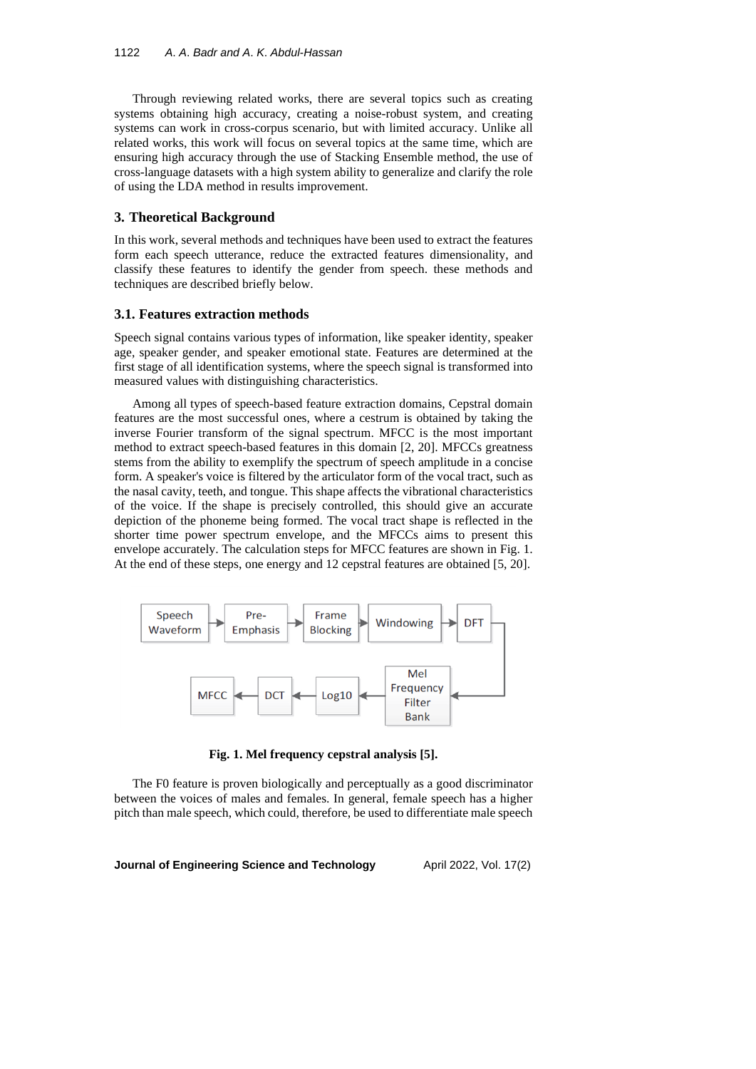Through reviewing related works, there are several topics such as creating systems obtaining high accuracy, creating a noise-robust system, and creating systems can work in cross-corpus scenario, but with limited accuracy. Unlike all related works, this work will focus on several topics at the same time, which are ensuring high accuracy through the use of Stacking Ensemble method, the use of cross-language datasets with a high system ability to generalize and clarify the role of using the LDA method in results improvement.

## **3. Theoretical Background**

In this work, several methods and techniques have been used to extract the features form each speech utterance, reduce the extracted features dimensionality, and classify these features to identify the gender from speech. these methods and techniques are described briefly below.

## **3.1. Features extraction methods**

Speech signal contains various types of information, like speaker identity, speaker age, speaker gender, and speaker emotional state. Features are determined at the first stage of all identification systems, where the speech signal is transformed into measured values with distinguishing characteristics.

Among all types of speech-based feature extraction domains, Cepstral domain features are the most successful ones, where a cestrum is obtained by taking the inverse Fourier transform of the signal spectrum. MFCC is the most important method to extract speech-based features in this domain [2, 20]. MFCCs greatness stems from the ability to exemplify the spectrum of speech amplitude in a concise form. A speaker's voice is filtered by the articulator form of the vocal tract, such as the nasal cavity, teeth, and tongue. This shape affects the vibrational characteristics of the voice. If the shape is precisely controlled, this should give an accurate depiction of the phoneme being formed. The vocal tract shape is reflected in the shorter time power spectrum envelope, and the MFCCs aims to present this envelope accurately. The calculation steps for MFCC features are shown in Fig. 1. At the end of these steps, one energy and 12 cepstral features are obtained [5, 20].



**Fig. 1. Mel frequency cepstral analysis [5].**

The F0 feature is proven biologically and perceptually as a good discriminator between the voices of males and females. In general, female speech has a higher pitch than male speech, which could, therefore, be used to differentiate male speech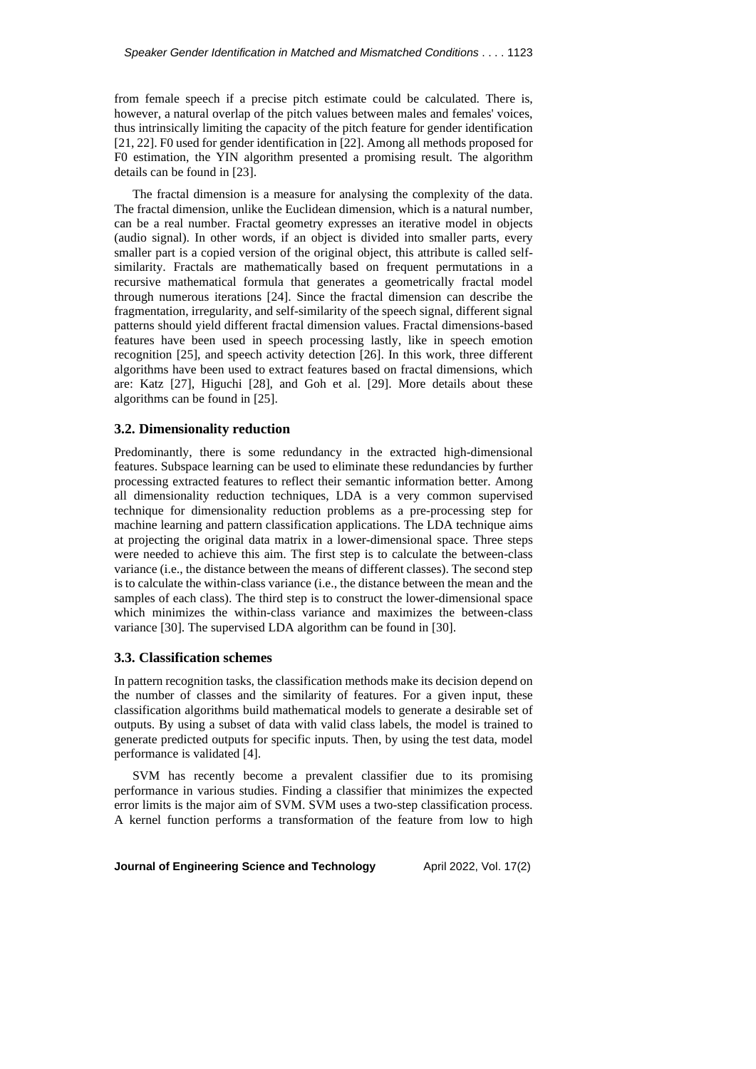from female speech if a precise pitch estimate could be calculated. There is, however, a natural overlap of the pitch values between males and females' voices, thus intrinsically limiting the capacity of the pitch feature for gender identification [21, 22]. F0 used for gender identification in [22]. Among all methods proposed for F0 estimation, the YIN algorithm presented a promising result. The algorithm details can be found in [23].

The fractal dimension is a measure for analysing the complexity of the data. The fractal dimension, unlike the Euclidean dimension, which is a natural number, can be a real number. Fractal geometry expresses an iterative model in objects (audio signal). In other words, if an object is divided into smaller parts, every smaller part is a copied version of the original object, this attribute is called selfsimilarity. Fractals are mathematically based on frequent permutations in a recursive mathematical formula that generates a geometrically fractal model through numerous iterations [24]. Since the fractal dimension can describe the fragmentation, irregularity, and self-similarity of the speech signal, different signal patterns should yield different fractal dimension values. Fractal dimensions-based features have been used in speech processing lastly, like in speech emotion recognition [25], and speech activity detection [26]. In this work, three different algorithms have been used to extract features based on fractal dimensions, which are: Katz [27], Higuchi [28], and Goh et al. [29]. More details about these algorithms can be found in [25].

## **3.2. Dimensionality reduction**

Predominantly, there is some redundancy in the extracted high-dimensional features. Subspace learning can be used to eliminate these redundancies by further processing extracted features to reflect their semantic information better. Among all dimensionality reduction techniques, LDA is a very common supervised technique for dimensionality reduction problems as a pre-processing step for machine learning and pattern classification applications. The LDA technique aims at projecting the original data matrix in a lower-dimensional space. Three steps were needed to achieve this aim. The first step is to calculate the between-class variance (i.e., the distance between the means of different classes). The second step is to calculate the within-class variance (i.e., the distance between the mean and the samples of each class). The third step is to construct the lower-dimensional space which minimizes the within-class variance and maximizes the between-class variance [30]. The supervised LDA algorithm can be found in [30].

# **3.3. Classification schemes**

In pattern recognition tasks, the classification methods make its decision depend on the number of classes and the similarity of features. For a given input, these classification algorithms build mathematical models to generate a desirable set of outputs. By using a subset of data with valid class labels, the model is trained to generate predicted outputs for specific inputs. Then, by using the test data, model performance is validated [4].

SVM has recently become a prevalent classifier due to its promising performance in various studies. Finding a classifier that minimizes the expected error limits is the major aim of SVM. SVM uses a two-step classification process. A kernel function performs a transformation of the feature from low to high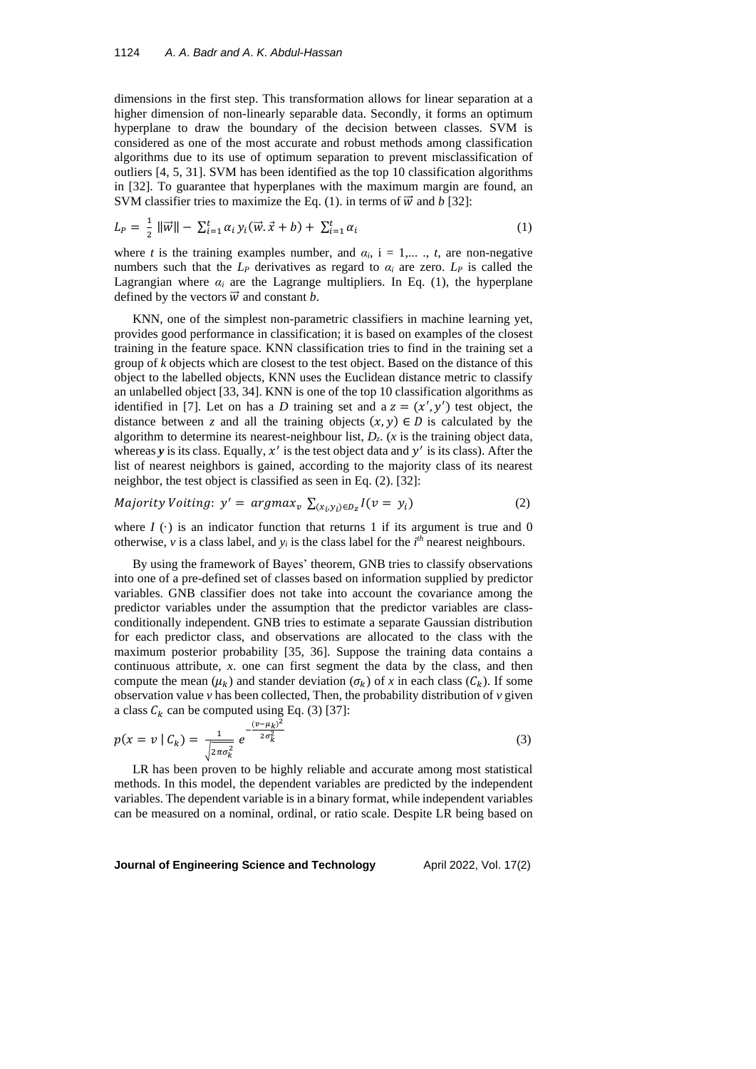dimensions in the first step. This transformation allows for linear separation at a higher dimension of non-linearly separable data. Secondly, it forms an optimum hyperplane to draw the boundary of the decision between classes. SVM is considered as one of the most accurate and robust methods among classification algorithms due to its use of optimum separation to prevent misclassification of outliers [4, 5, 31]. SVM has been identified as the top 10 classification algorithms in [32]. To guarantee that hyperplanes with the maximum margin are found, an SVM classifier tries to maximize the Eq. (1). in terms of  $\vec{w}$  and *b* [32]:

$$
L_{P} = \frac{1}{2} \|\vec{w}\| - \sum_{i=1}^{t} \alpha_{i} y_{i}(\vec{w}.\vec{x} + b) + \sum_{i=1}^{t} \alpha_{i}
$$
 (1)

where *t* is the training examples number, and  $\alpha_i$ , i = 1,..., *t*, are non-negative numbers such that the  $L_P$  derivatives as regard to  $\alpha_i$  are zero.  $L_P$  is called the Lagrangian where  $\alpha_i$  are the Lagrange multipliers. In Eq. (1), the hyperplane defined by the vectors  $\vec{w}$  and constant *b*.

KNN, one of the simplest non-parametric classifiers in machine learning yet, provides good performance in classification; it is based on examples of the closest training in the feature space. KNN classification tries to find in the training set a group of *k* objects which are closest to the test object. Based on the distance of this object to the labelled objects, KNN uses the Euclidean distance metric to classify an unlabelled object [33, 34]. KNN is one of the top 10 classification algorithms as identified in [7]. Let on has a *D* training set and a  $z = (x', y')$  test object, the distance between *z* and all the training objects  $(x, y) \in D$  is calculated by the algorithm to determine its nearest-neighbour list,  $D_z$ . (*x* is the training object data, whereas  $y$  is its class. Equally,  $x'$  is the test object data and  $y'$  is its class). After the list of nearest neighbors is gained, according to the majority class of its nearest neighbor, the test object is classified as seen in Eq. (2). [32]:

$$
Majority \, Voting: \, y' = argmax_{v} \, \sum_{(x_i, y_i) \in D_z} I(v = y_i) \tag{2}
$$

where  $I(\cdot)$  is an indicator function that returns 1 if its argument is true and 0 otherwise,  $v$  is a class label, and  $y_i$  is the class label for the  $i<sup>th</sup>$  nearest neighbours.

By using the framework of Bayes' theorem, GNB tries to classify observations into one of a pre-defined set of classes based on information supplied by predictor variables. GNB classifier does not take into account the covariance among the predictor variables under the assumption that the predictor variables are classconditionally independent. GNB tries to estimate a separate Gaussian distribution for each predictor class, and observations are allocated to the class with the maximum posterior probability [35, 36]. Suppose the training data contains a continuous attribute, *x*. one can first segment the data by the class, and then compute the mean  $(\mu_k)$  and stander deviation  $(\sigma_k)$  of *x* in each class  $(C_k)$ . If some observation value *v* has been collected, Then, the probability distribution of *v* given a class  $C_k$  can be computed using Eq. (3) [37]:

$$
p(x = v \mid C_k) = \frac{1}{\sqrt{2\pi\sigma_k^2}} e^{-\frac{(v - \mu_k)^2}{2\sigma_k^2}}
$$
(3)

LR has been proven to be highly reliable and accurate among most statistical methods. In this model, the dependent variables are predicted by the independent variables. The dependent variable is in a binary format, while independent variables can be measured on a nominal, ordinal, or ratio scale. Despite LR being based on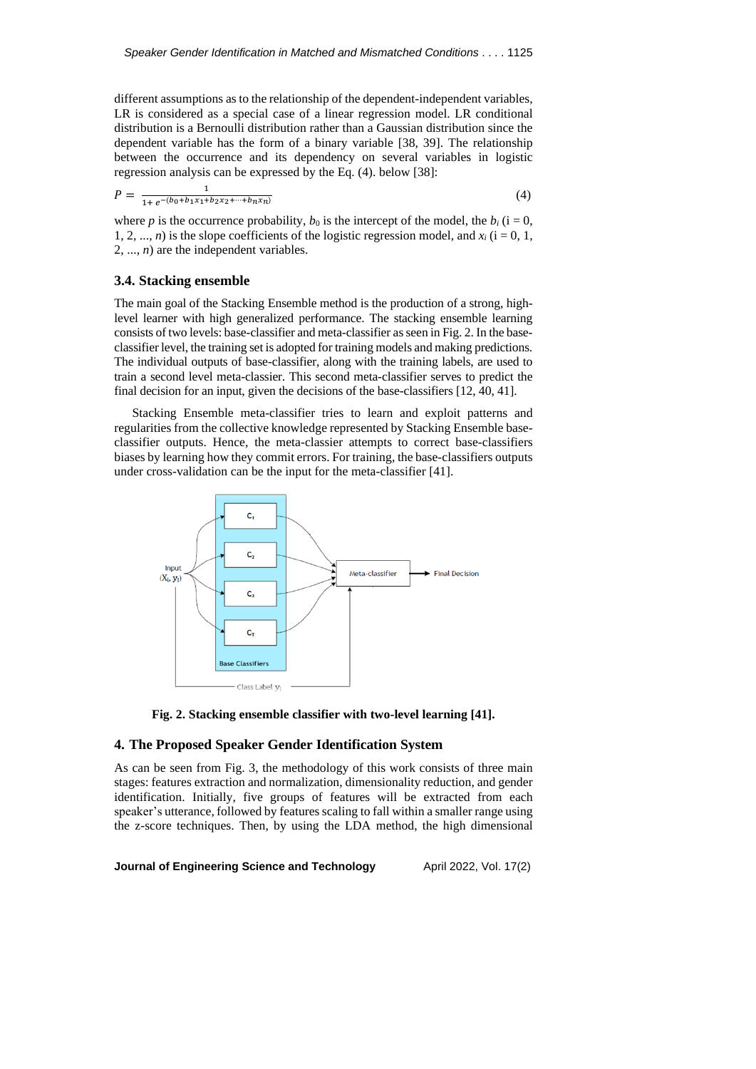different assumptions as to the relationship of the dependent-independent variables, LR is considered as a special case of a linear regression model. LR conditional distribution is a Bernoulli distribution rather than a Gaussian distribution since the dependent variable has the form of a binary variable [38, 39]. The relationship between the occurrence and its dependency on several variables in logistic regression analysis can be expressed by the Eq. (4). below [38]:

$$
P = \frac{1}{1 + e^{-(b_0 + b_1 x_1 + b_2 x_2 + \dots + b_n x_n)}}
$$
(4)

where *p* is the occurrence probability,  $b_0$  is the intercept of the model, the  $b_i$  (i = 0, 1, 2, ..., *n*) is the slope coefficients of the logistic regression model, and  $x_i$  (i = 0, 1, 2, ..., *n*) are the independent variables.

## **3.4. Stacking ensemble**

The main goal of the Stacking Ensemble method is the production of a strong, highlevel learner with high generalized performance. The stacking ensemble learning consists of two levels: base-classifier and meta-classifier asseen in Fig. 2. In the baseclassifier level, the training set is adopted for training models and making predictions. The individual outputs of base-classifier, along with the training labels, are used to train a second level meta-classier. This second meta-classifier serves to predict the final decision for an input, given the decisions of the base-classifiers [12, 40, 41].

Stacking Ensemble meta-classifier tries to learn and exploit patterns and regularities from the collective knowledge represented by Stacking Ensemble baseclassifier outputs. Hence, the meta-classier attempts to correct base-classifiers biases by learning how they commit errors. For training, the base-classifiers outputs under cross-validation can be the input for the meta-classifier [41].





## **4. The Proposed Speaker Gender Identification System**

As can be seen from Fig. 3, the methodology of this work consists of three main stages: features extraction and normalization, dimensionality reduction, and gender identification. Initially, five groups of features will be extracted from each speaker's utterance, followed by features scaling to fall within a smaller range using the z-score techniques. Then, by using the LDA method, the high dimensional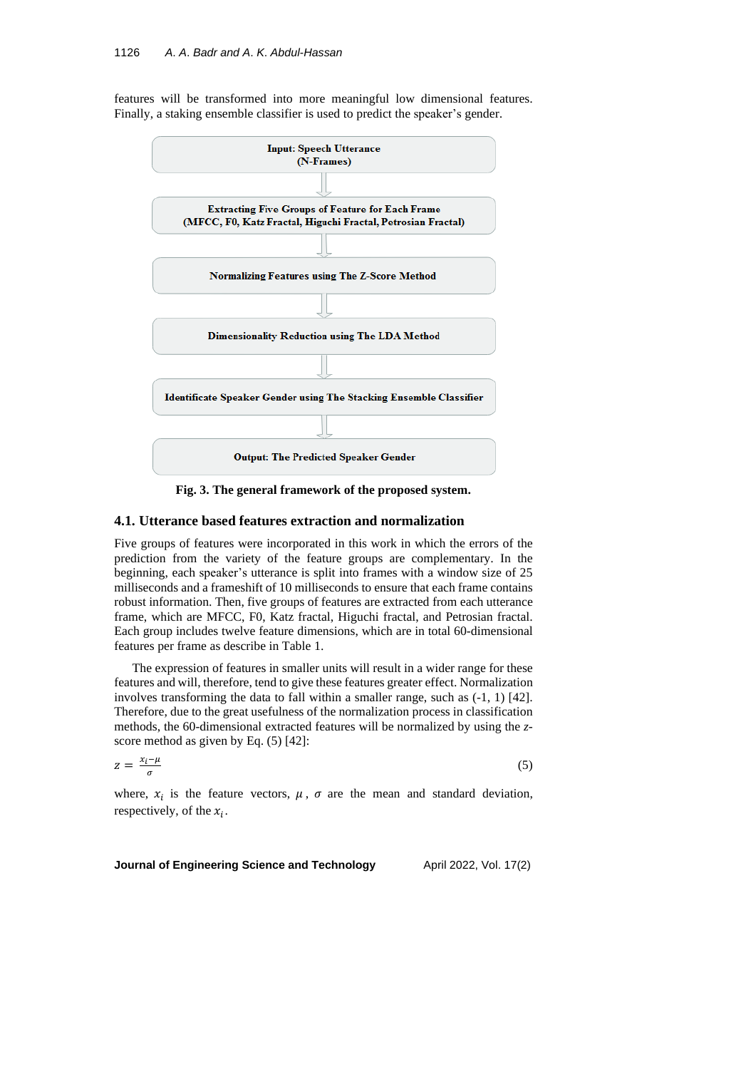features will be transformed into more meaningful low dimensional features. Finally, a staking ensemble classifier is used to predict the speaker's gender.



**Fig. 3. The general framework of the proposed system.**

# **4.1. Utterance based features extraction and normalization**

Five groups of features were incorporated in this work in which the errors of the prediction from the variety of the feature groups are complementary. In the beginning, each speaker's utterance is split into frames with a window size of 25 milliseconds and a frameshift of 10 milliseconds to ensure that each frame contains robust information. Then, five groups of features are extracted from each utterance frame, which are MFCC, F0, Katz fractal, Higuchi fractal, and Petrosian fractal. Each group includes twelve feature dimensions, which are in total 60-dimensional features per frame as describe in Table 1.

The expression of features in smaller units will result in a wider range for these features and will, therefore, tend to give these features greater effect. Normalization involves transforming the data to fall within a smaller range, such as (-1, 1) [42]. Therefore, due to the great usefulness of the normalization process in classification methods, the 60-dimensional extracted features will be normalized by using the *z*score method as given by Eq. (5) [42]:

$$
z = \frac{x_i - \mu}{\sigma} \tag{5}
$$

where,  $x_i$  is the feature vectors,  $\mu$ ,  $\sigma$  are the mean and standard deviation, respectively, of the  $x_i$ .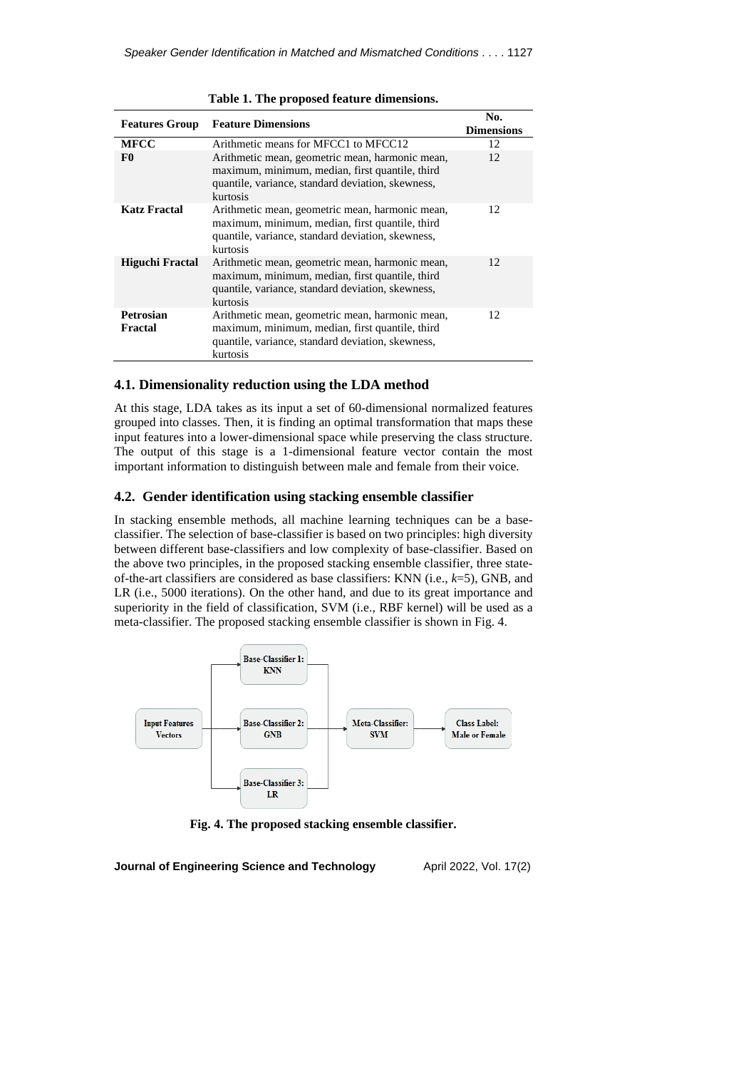| <b>Features Group</b>       | <b>Feature Dimensions</b>                                                                                                                                           | No.<br><b>Dimensions</b> |
|-----------------------------|---------------------------------------------------------------------------------------------------------------------------------------------------------------------|--------------------------|
| <b>MFCC</b>                 | Arithmetic means for MFCC1 to MFCC12                                                                                                                                | 12                       |
| F <sub>0</sub>              | Arithmetic mean, geometric mean, harmonic mean,<br>maximum, minimum, median, first quantile, third<br>quantile, variance, standard deviation, skewness,<br>kurtosis | 12                       |
| Katz Fractal                | Arithmetic mean, geometric mean, harmonic mean,<br>maximum, minimum, median, first quantile, third<br>quantile, variance, standard deviation, skewness,<br>kurtosis | 12                       |
| Higuchi Fractal             | Arithmetic mean, geometric mean, harmonic mean,<br>maximum, minimum, median, first quantile, third<br>quantile, variance, standard deviation, skewness,<br>kurtosis | 12                       |
| <b>Petrosian</b><br>Fractal | Arithmetic mean, geometric mean, harmonic mean,<br>maximum, minimum, median, first quantile, third<br>quantile, variance, standard deviation, skewness,<br>kurtosis | 12                       |

#### **Table 1. The proposed feature dimensions.**

# **4.1. Dimensionality reduction using the LDA method**

At this stage, LDA takes as its input a set of 60-dimensional normalized features grouped into classes. Then, it is finding an optimal transformation that maps these input features into a lower-dimensional space while preserving the class structure. The output of this stage is a 1-dimensional feature vector contain the most important information to distinguish between male and female from their voice.

# **4.2. Gender identification using stacking ensemble classifier**

In stacking ensemble methods, all machine learning techniques can be a baseclassifier. The selection of base-classifier is based on two principles: high diversity between different base-classifiers and low complexity of base-classifier. Based on the above two principles, in the proposed stacking ensemble classifier, three stateof-the-art classifiers are considered as base classifiers: KNN (i.e., *k*=5), GNB, and LR (i.e., 5000 iterations). On the other hand, and due to its great importance and superiority in the field of classification, SVM (i.e., RBF kernel) will be used as a meta-classifier. The proposed stacking ensemble classifier is shown in Fig. 4.



**Fig. 4. The proposed stacking ensemble classifier.**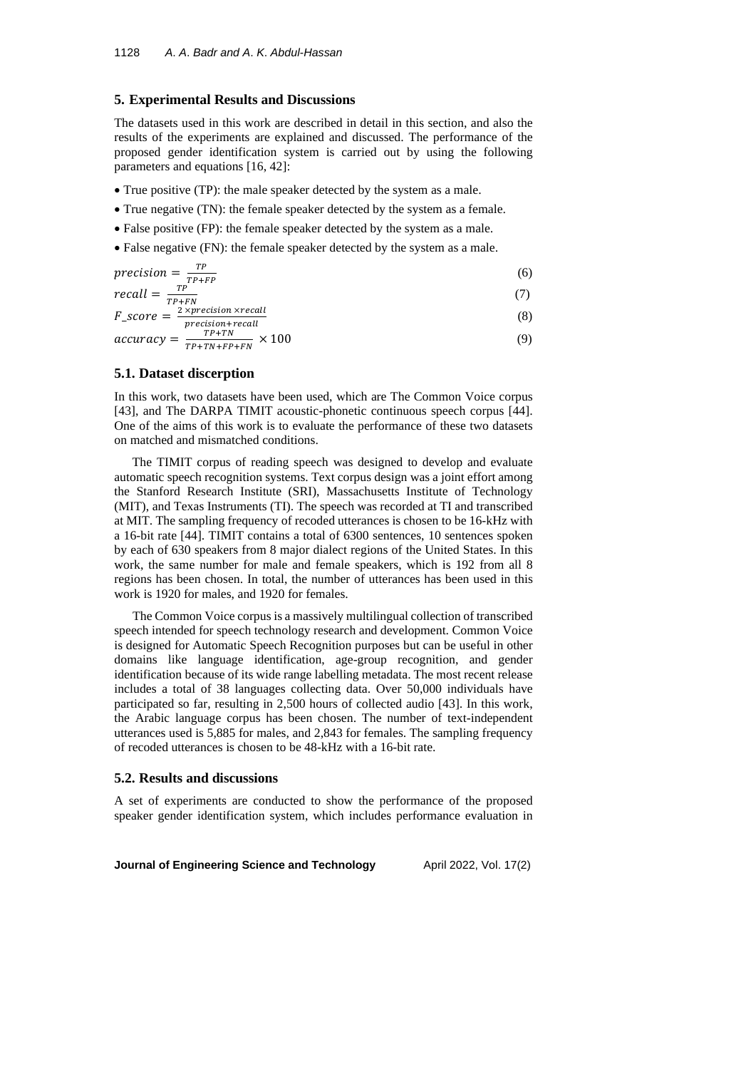## **5. Experimental Results and Discussions**

The datasets used in this work are described in detail in this section, and also the results of the experiments are explained and discussed. The performance of the proposed gender identification system is carried out by using the following parameters and equations [16, 42]:

- True positive (TP): the male speaker detected by the system as a male.
- True negative (TN): the female speaker detected by the system as a female.
- False positive (FP): the female speaker detected by the system as a male.
- False negative (FN): the female speaker detected by the system as a male.

$$
precision = \frac{TP}{TP + FP}
$$
 (6)

$$
recall = \frac{1}{TP+FN}
$$
\n
$$
F_{\text{ac} \text{area}} = \frac{2 \times precision \times recall}{(2)}
$$
\n
$$
(2)
$$

$$
F\_score = \frac{2 \times precision + recall}{precision + recall}
$$
\n(8)

$$
accuracy = \frac{1}{TP + TN + FP + FN} \times 100 \tag{9}
$$

## **5.1. Dataset discerption**

In this work, two datasets have been used, which are The Common Voice corpus [43], and The DARPA TIMIT acoustic-phonetic continuous speech corpus [44]. One of the aims of this work is to evaluate the performance of these two datasets on matched and mismatched conditions.

The TIMIT corpus of reading speech was designed to develop and evaluate automatic speech recognition systems. Text corpus design was a joint effort among the Stanford Research Institute (SRI), Massachusetts Institute of Technology (MIT), and Texas Instruments (TI). The speech was recorded at TI and transcribed at MIT. The sampling frequency of recoded utterances is chosen to be 16-kHz with a 16-bit rate [44]. TIMIT contains a total of 6300 sentences, 10 sentences spoken by each of 630 speakers from 8 major dialect regions of the United States. In this work, the same number for male and female speakers, which is 192 from all 8 regions has been chosen. In total, the number of utterances has been used in this work is 1920 for males, and 1920 for females.

The Common Voice corpus is a massively multilingual collection of transcribed speech intended for speech technology research and development. Common Voice is designed for Automatic Speech Recognition purposes but can be useful in other domains like language identification, age-group recognition, and gender identification because of its wide range labelling metadata. The most recent release includes a total of 38 languages collecting data. Over 50,000 individuals have participated so far, resulting in 2,500 hours of collected audio [43]. In this work, the Arabic language corpus has been chosen. The number of text-independent utterances used is 5,885 for males, and 2,843 for females. The sampling frequency of recoded utterances is chosen to be 48-kHz with a 16-bit rate.

# **5.2. Results and discussions**

A set of experiments are conducted to show the performance of the proposed speaker gender identification system, which includes performance evaluation in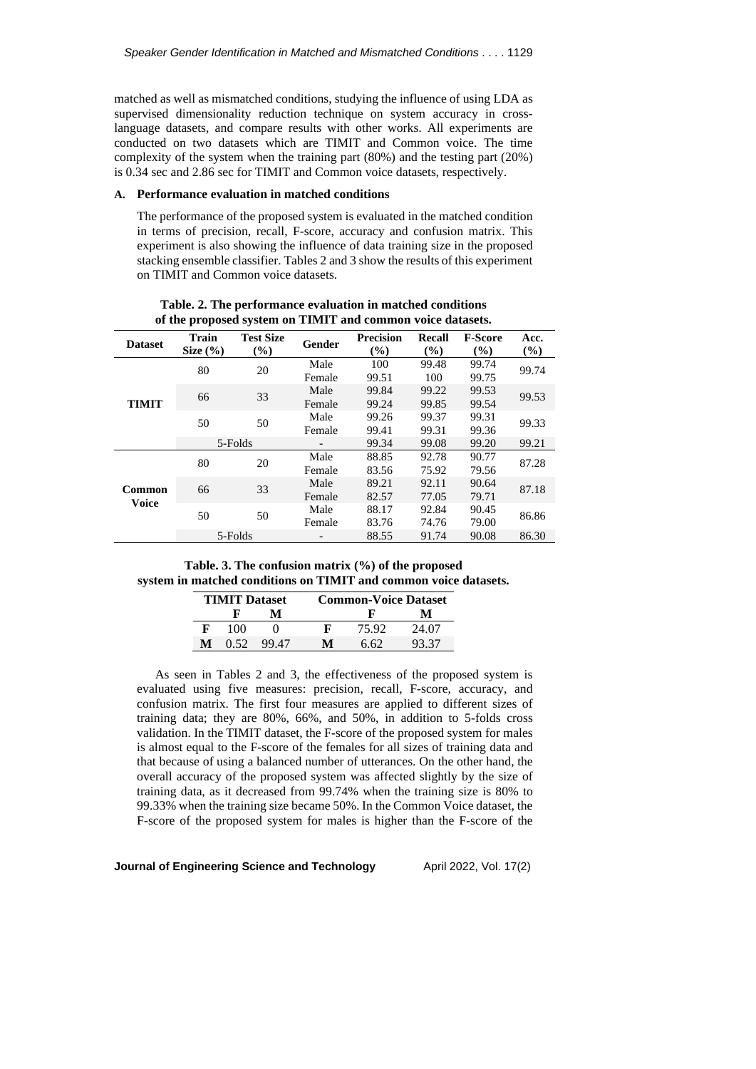matched as well as mismatched conditions, studying the influence of using LDA as supervised dimensionality reduction technique on system accuracy in crosslanguage datasets, and compare results with other works. All experiments are conducted on two datasets which are TIMIT and Common voice. The time complexity of the system when the training part (80%) and the testing part (20%) is 0.34 sec and 2.86 sec for TIMIT and Common voice datasets, respectively.

## **A. Performance evaluation in matched conditions**

The performance of the proposed system is evaluated in the matched condition in terms of precision, recall, F-score, accuracy and confusion matrix. This experiment is also showing the influence of data training size in the proposed stacking ensemble classifier. Tables 2 and 3 show the results of this experiment on TIMIT and Common voice datasets.

|                | of the proposed system on Trivit's and common voice datasets. |                  |        |                            |               |                |        |
|----------------|---------------------------------------------------------------|------------------|--------|----------------------------|---------------|----------------|--------|
| <b>Dataset</b> | <b>Train</b>                                                  | <b>Test Size</b> | Gender | <b>Precision</b>           | Recall        | <b>F-Score</b> | Acc.   |
|                | Size $(\% )$                                                  | $(\%)$           |        | $\left(\frac{0}{0}\right)$ | $\frac{9}{6}$ | $\frac{9}{6}$  | $(\%)$ |
|                | 80                                                            | 20               | Male   | 100                        | 99.48         | 99.74          | 99.74  |
|                |                                                               |                  | Female | 99.51                      | 100           | 99.75          |        |
|                | 66                                                            | 33               | Male   | 99.84                      | 99.22         | 99.53          | 99.53  |
| <b>TIMIT</b>   |                                                               |                  | Female | 99.24                      | 99.85         | 99.54          |        |
| 50             |                                                               |                  | Male   | 99.26                      | 99.37         | 99.31          | 99.33  |
|                | 50                                                            | Female           | 99.41  | 99.31                      | 99.36         |                |        |
|                |                                                               | 5-Folds          |        | 99.34                      | 99.08         | 99.20          | 99.21  |
|                | 80                                                            | 20               | Male   | 88.85                      | 92.78         | 90.77          | 87.28  |
|                |                                                               |                  | Female | 83.56                      | 75.92         | 79.56          |        |
|                |                                                               |                  | Male   | 89.21                      | 92.11         | 90.64          |        |
| Voice          | 33<br>66<br>Common                                            | Female           | 82.57  | 77.05                      | 79.71         | 87.18          |        |
|                |                                                               |                  | Male   | 88.17                      | 92.84         | 90.45          |        |
|                |                                                               | 50<br>50         |        | 83.76                      | 74.76         | 79.00          | 86.86  |
|                |                                                               | 5-Folds          |        | 88.55                      | 91.74         | 90.08          | 86.30  |

**Table. 2. The performance evaluation in matched conditions of the proposed system on TIMIT and common voice datasets.**

**Table. 3. The confusion matrix (%) of the proposed system in matched conditions on TIMIT and common voice datasets.**

| <b>TIMIT</b> Dataset |      | <b>Common-Voice Dataset</b> |   |       |       |
|----------------------|------|-----------------------------|---|-------|-------|
|                      | F    | м                           |   |       | м     |
|                      | 100  |                             |   | 75.92 | 24.07 |
| М                    | 0.52 | 99.47                       | м | 6.62  | 93.37 |

As seen in Tables 2 and 3, the effectiveness of the proposed system is evaluated using five measures: precision, recall, F-score, accuracy, and confusion matrix. The first four measures are applied to different sizes of training data; they are 80%, 66%, and 50%, in addition to 5-folds cross validation. In the TIMIT dataset, the F-score of the proposed system for males is almost equal to the F-score of the females for all sizes of training data and that because of using a balanced number of utterances. On the other hand, the overall accuracy of the proposed system was affected slightly by the size of training data, as it decreased from 99.74% when the training size is 80% to 99.33% when the training size became 50%. In the Common Voice dataset, the F-score of the proposed system for males is higher than the F-score of the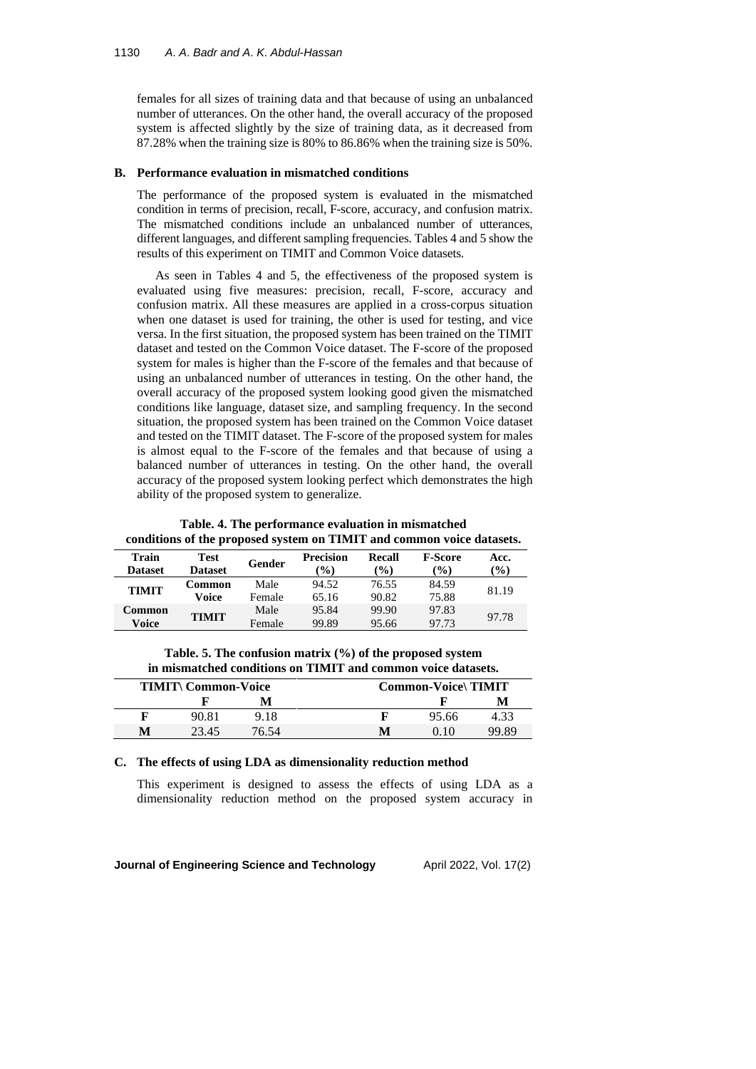females for all sizes of training data and that because of using an unbalanced number of utterances. On the other hand, the overall accuracy of the proposed system is affected slightly by the size of training data, as it decreased from 87.28% when the training size is 80% to 86.86% when the training size is 50%.

#### **B. Performance evaluation in mismatched conditions**

The performance of the proposed system is evaluated in the mismatched condition in terms of precision, recall, F-score, accuracy, and confusion matrix. The mismatched conditions include an unbalanced number of utterances, different languages, and different sampling frequencies. Tables 4 and 5 show the results of this experiment on TIMIT and Common Voice datasets.

As seen in Tables 4 and 5, the effectiveness of the proposed system is evaluated using five measures: precision, recall, F-score, accuracy and confusion matrix. All these measures are applied in a cross-corpus situation when one dataset is used for training, the other is used for testing, and vice versa. In the first situation, the proposed system has been trained on the TIMIT dataset and tested on the Common Voice dataset. The F-score of the proposed system for males is higher than the F-score of the females and that because of using an unbalanced number of utterances in testing. On the other hand, the overall accuracy of the proposed system looking good given the mismatched conditions like language, dataset size, and sampling frequency. In the second situation, the proposed system has been trained on the Common Voice dataset and tested on the TIMIT dataset. The F-score of the proposed system for males is almost equal to the F-score of the females and that because of using a balanced number of utterances in testing. On the other hand, the overall accuracy of the proposed system looking perfect which demonstrates the high ability of the proposed system to generalize.

**Table. 4. The performance evaluation in mismatched conditions of the proposed system on TIMIT and common voice datasets.**

| Train<br><b>Dataset</b> | Test<br><b>Dataset</b> | Gender         | <b>Precision</b><br>$\mathcal{O}(0)$ | <b>Recall</b><br>$($ %) | <b>F-Score</b><br>$\mathcal{O}(6)$ | Acc.<br>$\mathcal{O}(6)$ |
|-------------------------|------------------------|----------------|--------------------------------------|-------------------------|------------------------------------|--------------------------|
| <b>TIMIT</b>            | Common<br>Voice        | Male<br>Female | 94.52<br>65.16                       | 76.55<br>90.82          | 84.59<br>75.88                     | 81.19                    |
| Common<br>Voice         | TIMIT                  | Male<br>Female | 95.84<br>99.89                       | 99.90<br>95.66          | 97.83<br>97.73                     | 97.78                    |

**Table. 5. The confusion matrix (%) of the proposed system in mismatched conditions on TIMIT and common voice datasets.**

| <b>TIMIT\ Common-Voice</b> |       |       | <b>Common-Voice\TIMIT</b> |       |       |  |
|----------------------------|-------|-------|---------------------------|-------|-------|--|
|                            |       |       |                           |       | M     |  |
|                            | 90.81 | 9.18  |                           | 95.66 | 4.33  |  |
| M                          | 23.45 | 76.54 | M                         |       | 99.89 |  |

## **C. The effects of using LDA as dimensionality reduction method**

This experiment is designed to assess the effects of using LDA as a dimensionality reduction method on the proposed system accuracy in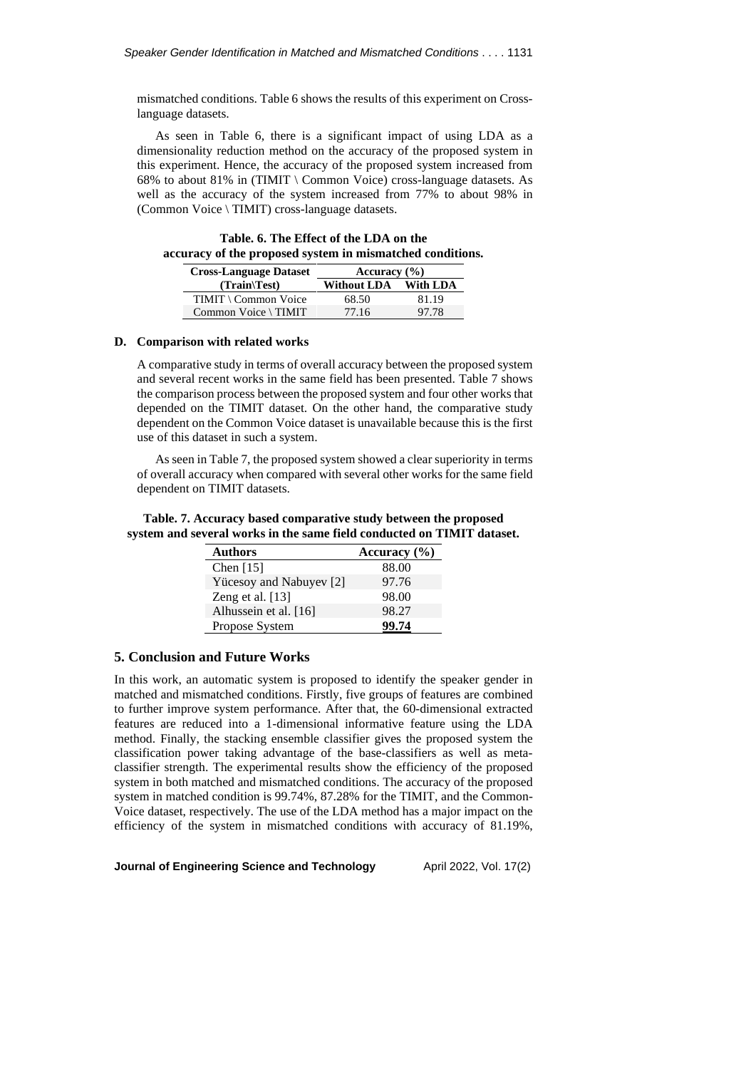mismatched conditions. Table 6 shows the results of this experiment on Crosslanguage datasets.

As seen in Table 6, there is a significant impact of using LDA as a dimensionality reduction method on the accuracy of the proposed system in this experiment. Hence, the accuracy of the proposed system increased from 68% to about 81% in (TIMIT \ Common Voice) cross-language datasets. As well as the accuracy of the system increased from 77% to about 98% in (Common Voice \ TIMIT) cross-language datasets.

| Table. 6. The Effect of the LDA on the                    |  |
|-----------------------------------------------------------|--|
| accuracy of the proposed system in mismatched conditions. |  |

| <b>Cross-Language Dataset</b> | Accuracy $(\% )$     |       |  |
|-------------------------------|----------------------|-------|--|
| $(Train \text{Test})$         | Without LDA With LDA |       |  |
| TIMIT \ Common Voice          | 68.50                | 81.19 |  |
| Common Voice \ TIMIT          | 77.16                | 97.78 |  |

## **D. Comparison with related works**

A comparative study in terms of overall accuracy between the proposed system and several recent works in the same field has been presented. Table 7 shows the comparison process between the proposed system and four other works that depended on the TIMIT dataset. On the other hand, the comparative study dependent on the Common Voice dataset is unavailable because this is the first use of this dataset in such a system.

As seen in Table 7, the proposed system showed a clear superiority in terms of overall accuracy when compared with several other works for the same field dependent on TIMIT datasets.

| Table. 7. Accuracy based comparative study between the proposed        |  |  |  |
|------------------------------------------------------------------------|--|--|--|
| system and several works in the same field conducted on TIMIT dataset. |  |  |  |

| <b>Authors</b>          | Accuracy $(\% )$ |
|-------------------------|------------------|
| Chen $[15]$             | 88.00            |
| Yücesoy and Nabuyev [2] | 97.76            |
| Zeng et al. [13]        | 98.00            |
| Alhussein et al. [16]   | 98.27            |
| Propose System          | 99.74            |

## **5. Conclusion and Future Works**

In this work, an automatic system is proposed to identify the speaker gender in matched and mismatched conditions. Firstly, five groups of features are combined to further improve system performance. After that, the 60-dimensional extracted features are reduced into a 1-dimensional informative feature using the LDA method. Finally, the stacking ensemble classifier gives the proposed system the classification power taking advantage of the base-classifiers as well as metaclassifier strength. The experimental results show the efficiency of the proposed system in both matched and mismatched conditions. The accuracy of the proposed system in matched condition is 99.74%, 87.28% for the TIMIT, and the Common-Voice dataset, respectively. The use of the LDA method has a major impact on the efficiency of the system in mismatched conditions with accuracy of 81.19%,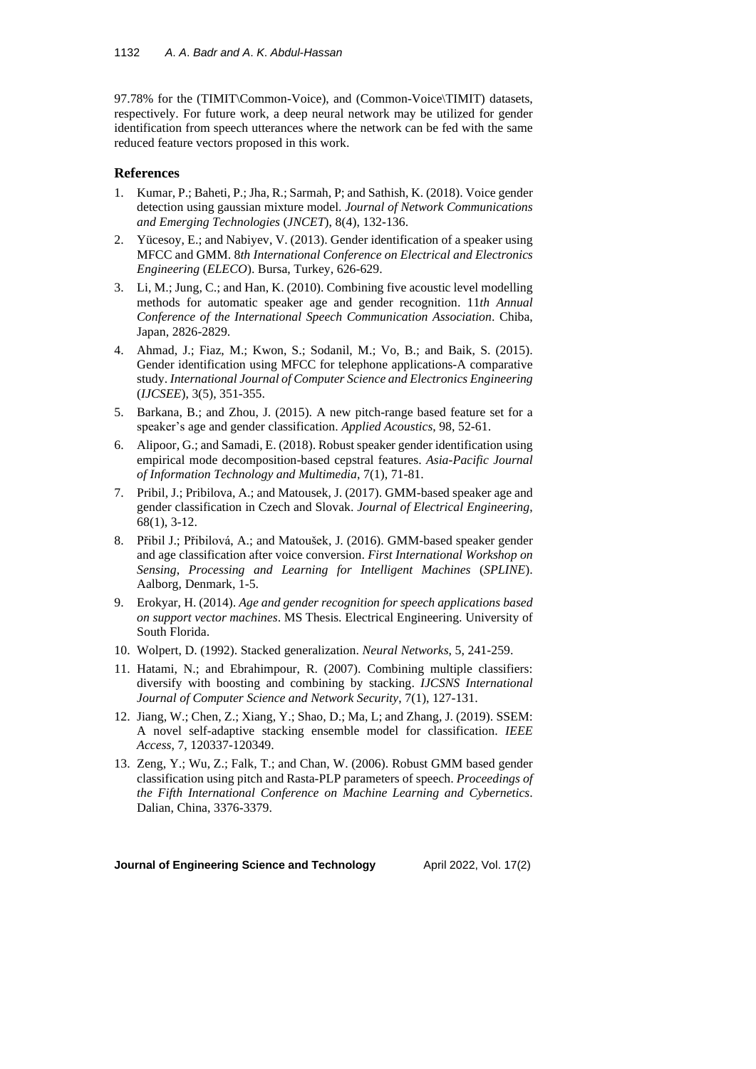97.78% for the (TIMIT\Common-Voice), and (Common-Voice\TIMIT) datasets, respectively. For future work, a deep neural network may be utilized for gender identification from speech utterances where the network can be fed with the same reduced feature vectors proposed in this work.

# **References**

- 1. Kumar, P.; Baheti, P.; Jha, R.; Sarmah, P; and Sathish, K. (2018). Voice gender detection using gaussian mixture model. *Journal of Network Communications and Emerging Technologies* (*JNCET*), 8(4), 132-136.
- 2. Yücesoy, E.; and Nabiyev, V. (2013). Gender identification of a speaker using MFCC and GMM. 8*th International Conference on Electrical and Electronics Engineering* (*ELECO*). Bursa, Turkey, 626-629.
- 3. Li, M.; Jung, C.; and Han, K. (2010). Combining five acoustic level modelling methods for automatic speaker age and gender recognition. 11*th Annual Conference of the International Speech Communication Association*. Chiba, Japan, 2826-2829.
- 4. Ahmad, J.; Fiaz, M.; Kwon, S.; Sodanil, M.; Vo, B.; and Baik, S. (2015). Gender identification using MFCC for telephone applications-A comparative study. *International Journal of Computer Science and Electronics Engineering* (*IJCSEE*), 3(5), 351-355.
- 5. Barkana, B.; and Zhou, J. (2015). A new pitch-range based feature set for a speaker's age and gender classification. *Applied Acoustics*, 98, 52-61.
- 6. Alipoor, G.; and Samadi, E. (2018). Robust speaker gender identification using empirical mode decomposition-based cepstral features. *Asia*-*Pacific Journal of Information Technology and Multimedia*, 7(1), 71-81.
- 7. Pribil, J.; Pribilova, A.; and Matousek, J. (2017). GMM-based speaker age and gender classification in Czech and Slovak. *Journal of Electrical Engineering*, 68(1), 3-12.
- 8. Přibil J.; Přibilová, A.; and Matoušek, J. (2016). GMM-based speaker gender and age classification after voice conversion. *First International Workshop on Sensing*, *Processing and Learning for Intelligent Machines* (*SPLINE*). Aalborg, Denmark, 1-5.
- 9. Erokyar, H. (2014). *Age and gender recognition for speech applications based on support vector machines*. MS Thesis. Electrical Engineering. University of South Florida.
- 10. Wolpert, D. (1992). Stacked generalization. *Neural Networks*, 5, 241-259.
- 11. Hatami, N.; and Ebrahimpour, R. (2007). Combining multiple classifiers: diversify with boosting and combining by stacking. *IJCSNS International Journal of Computer Science and Network Security*, 7(1), 127-131.
- 12. Jiang, W.; Chen, Z.; Xiang, Y.; Shao, D.; Ma, L; and Zhang, J. (2019). SSEM: A novel self-adaptive stacking ensemble model for classification. *IEEE Access*, 7, 120337-120349.
- 13. Zeng, Y.; Wu, Z.; Falk, T.; and Chan, W. (2006). Robust GMM based gender classification using pitch and Rasta-PLP parameters of speech. *Proceedings of the Fifth International Conference on Machine Learning and Cybernetics*. Dalian, China, 3376-3379.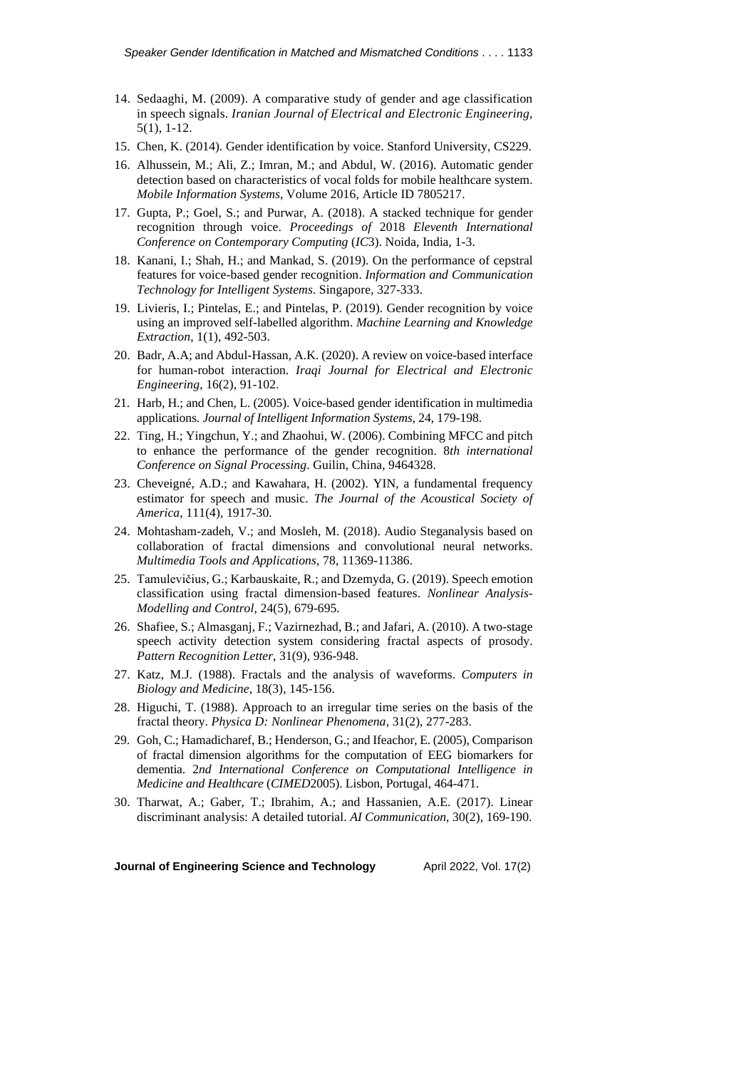- 14. Sedaaghi, M. (2009). A comparative study of gender and age classification in speech signals. *Iranian Journal of Electrical and Electronic Engineering*, 5(1), 1-12.
- 15. Chen, K. (2014). Gender identification by voice. Stanford University, CS229.
- 16. Alhussein, M.; Ali, Z.; Imran, M.; and Abdul, W. (2016). Automatic gender detection based on characteristics of vocal folds for mobile healthcare system. *Mobile Information Systems*, Volume 2016, Article ID 7805217.
- 17. Gupta, P.; Goel, S.; and Purwar, A. (2018). A stacked technique for gender recognition through voice. *Proceedings of* 2018 *Eleventh International Conference on Contemporary Computing* (*IC*3). Noida, India, 1-3.
- 18. Kanani, I.; Shah, H.; and Mankad, S. (2019). On the performance of cepstral features for voice-based gender recognition. *Information and Communication Technology for Intelligent Systems*. Singapore, 327-333.
- 19. Livieris, I.; Pintelas, E.; and Pintelas, P. (2019). Gender recognition by voice using an improved self-labelled algorithm. *Machine Learning and Knowledge Extraction*, 1(1), 492-503.
- 20. Badr, A.A; and Abdul-Hassan, A.K. (2020). A review on voice-based interface for human-robot interaction. *Iraqi Journal for Electrical and Electronic Engineering*, 16(2), 91-102.
- 21. Harb, H.; and Chen, L. (2005). Voice-based gender identification in multimedia applications. *Journal of Intelligent Information Systems*, 24, 179-198.
- 22. Ting, H.; Yingchun, Y.; and Zhaohui, W. (2006). Combining MFCC and pitch to enhance the performance of the gender recognition. 8*th international Conference on Signal Processing*. Guilin, China, 9464328.
- 23. Cheveigné, A.D.; and Kawahara, H. (2002). YIN, a fundamental frequency estimator for speech and music. *The Journal of the Acoustical Society of America*, 111(4), 1917-30.
- 24. Mohtasham-zadeh, V.; and Mosleh, M. (2018). Audio Steganalysis based on collaboration of fractal dimensions and convolutional neural networks. *Multimedia Tools and Applications*, 78, 11369-11386.
- 25. Tamulevičius, G.; Karbauskaite, R.; and Dzemyda, G. (2019). Speech emotion classification using fractal dimension-based features. *Nonlinear Analysis*-*Modelling and Control*, 24(5), 679-695.
- 26. Shafiee, S.; Almasganj, F.; Vazirnezhad, B.; and Jafari, A. (2010). A two-stage speech activity detection system considering fractal aspects of prosody. *Pattern Recognition Letter*, 31(9), 936-948.
- 27. Katz, M.J. (1988). Fractals and the analysis of waveforms. *Computers in Biology and Medicine*, 18(3), 145-156.
- 28. Higuchi, T. (1988). Approach to an irregular time series on the basis of the fractal theory. *Physica D: Nonlinear Phenomena*, 31(2), 277-283.
- 29. Goh, C.; Hamadicharef, B.; Henderson, G.; and Ifeachor, E. (2005), Comparison of fractal dimension algorithms for the computation of EEG biomarkers for dementia. 2*nd International Conference on Computational Intelligence in Medicine and Healthcare* (*CIMED*2005). Lisbon, Portugal, 464-471.
- 30. Tharwat, A.; Gaber, T.; Ibrahim, A.; and Hassanien, A.E. (2017). Linear discriminant analysis: A detailed tutorial. *AI Communication*, 30(2), 169-190.